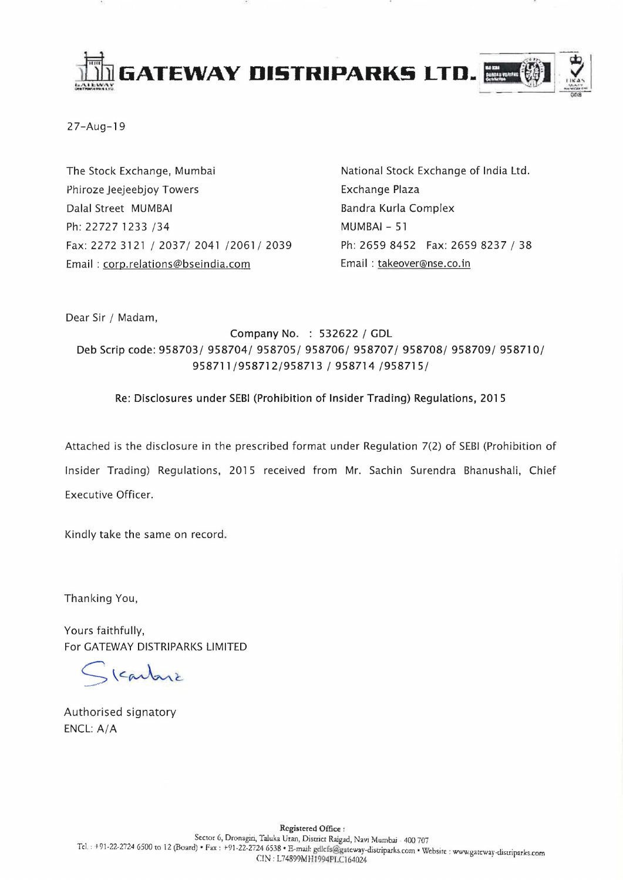

27-Aug-19

The Stock Exchange, Mumbai Phiroze Jeejeebjoy Towers Dalal Street MUMBAI Ph: 22727 1233 /34 Fax: 2272 3121/2037/2041/2061/2039 Email: corp.relations@bseindia.com

National Stock Exchange of India Ltd. Exchange Plaza Bandra Kurla Complex MUMBAI - 51 Ph: 2659 8452 Fax: 2659 8237/ 38 Email: takeover@nse.cO.in

Dear Sir / Madam,

Company No. : 532622 / GDL Deb Scrip code: 958703/ 958704/ 958705/ 958706/ 958707/ 958708/ 958709/ 958710/ 958711/958712/958713 / 958714 /958715/

# Re: Disclosures under SEBI (Prohibition of Insider Trading) Regulations, 2015

Attached is the disclosure in the prescribed format under Regulation 7(2) of SEBI (Prohibition of Insider Trading) Regulations, 2015 received from Mr. Sachin Surendra Bhanushali, Chief Executive Officer.

Kindly take the same on record.

Thanking You,

Yours faithfully, For GATEWAY DISTRIPARKS LIMITED

Skartoni

Authorised signatory ENCL: A/A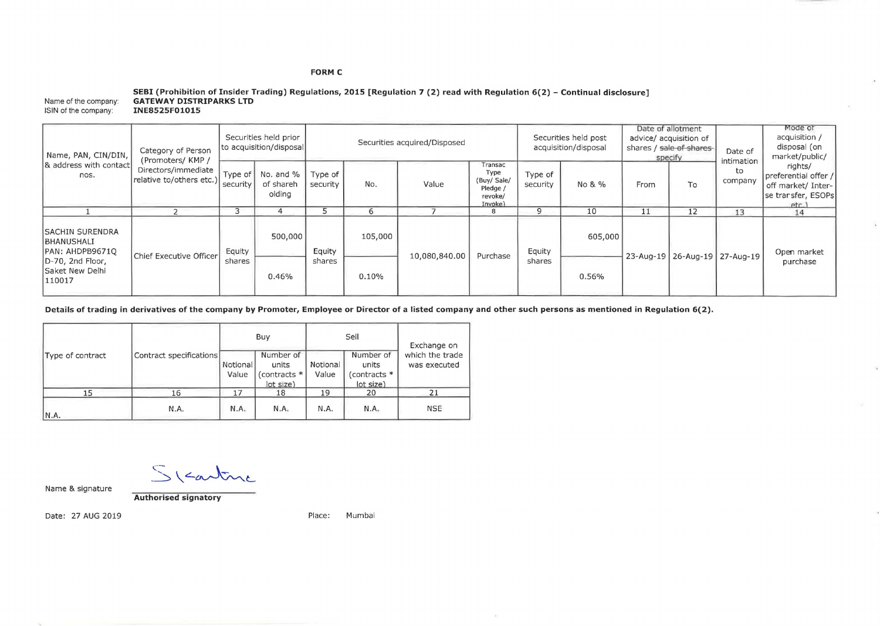### **FORM C**

#### Name of the company: ISIN of the company: **SEBI (Prohibition of Insider Trading) Regulations, 2015 [Regulation 7 (2) read with Regulation 6(2) - Continual disclosure] GATEWAY DISTRIPARKS LTD INE8525F01015**

| Name, PAN, CIN/DIN,<br>& address with contact<br>nos.                                                            | Category of Person<br>(Promoters/KMP/<br>Directors/immediate<br>relative to/others etc.) | Securities held prior<br>to acquisition/disposal |                                  | Securities acquired/Disposed         |     |               |                                                                  | Securities held post<br>acquisition/disposal |         | Date of allotment<br>advice/ acquisition of<br>shares / sale of shares-<br>specify |    | Date of                           | Mode of<br>acquisition /<br>disposal (on<br>market/public/                          |
|------------------------------------------------------------------------------------------------------------------|------------------------------------------------------------------------------------------|--------------------------------------------------|----------------------------------|--------------------------------------|-----|---------------|------------------------------------------------------------------|----------------------------------------------|---------|------------------------------------------------------------------------------------|----|-----------------------------------|-------------------------------------------------------------------------------------|
|                                                                                                                  |                                                                                          | Type of<br>security                              | No. and %<br>of shareh<br>olding | Type of<br>security                  | No. | Value         | Transac<br>Type<br>(Buy/ Sale/<br>Pledge /<br>revoke/<br>Invoke) | Type of<br>security                          | No & %  | From                                                                               | To | <b>ntimation</b><br>to<br>company | rights/<br>preferential offer /<br>off market/ Inter-<br>se trarsfer, ESOPs<br>etc. |
|                                                                                                                  |                                                                                          |                                                  |                                  |                                      |     |               | 8                                                                |                                              | 10      |                                                                                    | 12 | 13                                | 14                                                                                  |
| <b>ISACHIN SURENDRA</b><br><b>BHANUSHALI</b><br>PAN: AHDPB9671Q<br>D-70, 2nd Floor,<br>Saket New Delhi<br>110017 | Chief Executive Officer                                                                  | Equity                                           | 500,000                          | 105,000<br>Equity<br>shares<br>0.10% |     | 10,080,840.00 | Purchase                                                         | Equity                                       | 605,000 | 23-Aug-19 26-Aug-19 27-Aug-19                                                      |    |                                   | Open market                                                                         |
|                                                                                                                  |                                                                                          | shares                                           | 0.46%                            |                                      |     |               | shares                                                           | 0.56%                                        |         |                                                                                    |    | purchase                          |                                                                                     |

 $\mathcal{A}_1$ 

**Details of trading in derivatives of the company by Promoter, Employee or Director of a listed company and other such persons as mentioned in Regulation 6(2).** 

|                  |                         |                   | Buy                                             |                   | Sell                                            | Exchange on                     |  |
|------------------|-------------------------|-------------------|-------------------------------------------------|-------------------|-------------------------------------------------|---------------------------------|--|
| Type of contract | Contract specifications | Notional<br>Value | Number of<br>units<br>(contracts *<br>lot size) | Notional<br>Value | Number of<br>units<br>(contracts *<br>lot size) | which the trade<br>was executed |  |
| 15               | 16                      | 17                | 18                                              | 19                | 20                                              | 21                              |  |
| IN.A.            | N.A.                    | N.A.              | N.A.                                            | N.A.              | N.A.                                            | <b>NSE</b>                      |  |

 $S$  (carbine

Name & Signature

**Authorised signatory** 

Date: 27 AUG 2019 **Place:** Mumbai